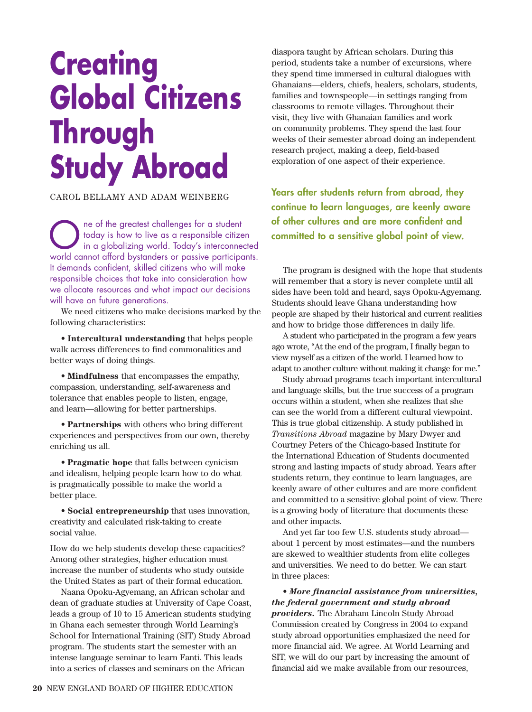## **Creating Global Citizens Through Study Abroad**

CAROL BELLAMY AND ADAM WEINBERG

The of the greatest challenges for a student<br>today is how to live as a responsible citizen<br>in a globalizing world. Today's interconnected<br>world.connect afford by tanders or passive participants today is how to live as a responsible citizen world cannot afford bystanders or passive participants. It demands confident, skilled citizens who will make responsible choices that take into consideration how we allocate resources and what impact our decisions will have on future generations.

We need citizens who make decisions marked by the following characteristics:

• **Intercultural understanding** that helps people walk across differences to find commonalities and better ways of doing things.

• **Mindfulness** that encompasses the empathy, compassion, understanding, self-awareness and tolerance that enables people to listen, engage, and learn—allowing for better partnerships.

• **Partnerships** with others who bring different experiences and perspectives from our own, thereby enriching us all.

• **Pragmatic hope** that falls between cynicism and idealism, helping people learn how to do what is pragmatically possible to make the world a better place.

• **Social entrepreneurship** that uses innovation, creativity and calculated risk-taking to create social value.

How do we help students develop these capacities? Among other strategies, higher education must increase the number of students who study outside the United States as part of their formal education.

Naana Opoku-Agyemang, an African scholar and dean of graduate studies at University of Cape Coast, leads a group of 10 to 15 American students studying in Ghana each semester through World Learning's School for International Training (SIT) Study Abroad program. The students start the semester with an intense language seminar to learn Fanti. This leads into a series of classes and seminars on the African

diaspora taught by African scholars. During this period, students take a number of excursions, where they spend time immersed in cultural dialogues with Ghanaians—elders, chiefs, healers, scholars, students, families and townspeople—in settings ranging from classrooms to remote villages. Throughout their visit, they live with Ghanaian families and work on community problems. They spend the last four weeks of their semester abroad doing an independent research project, making a deep, field-based exploration of one aspect of their experience.

**Years after students return from abroad, they continue to learn languages, are keenly aware of other cultures and are more confident and committed to a sensitive global point of view.**

The program is designed with the hope that students will remember that a story is never complete until all sides have been told and heard, says Opoku-Agyemang. Students should leave Ghana understanding how people are shaped by their historical and current realities and how to bridge those differences in daily life.

A student who participated in the program a few years ago wrote, "At the end of the program, I finally began to view myself as a citizen of the world. I learned how to adapt to another culture without making it change for me."

Study abroad programs teach important intercultural and language skills, but the true success of a program occurs within a student, when she realizes that she can see the world from a different cultural viewpoint. This is true global citizenship. A study published in *Transitions Abroad* magazine by Mary Dwyer and Courtney Peters of the Chicago-based Institute for the International Education of Students documented strong and lasting impacts of study abroad. Years after students return, they continue to learn languages, are keenly aware of other cultures and are more confident and committed to a sensitive global point of view. There is a growing body of literature that documents these and other impacts.

And yet far too few U.S. students study abroad about 1 percent by most estimates—and the numbers are skewed to wealthier students from elite colleges and universities. We need to do better. We can start in three places:

• *More financial assistance from universities, the federal government and study abroad providers.* The Abraham Lincoln Study Abroad Commission created by Congress in 2004 to expand study abroad opportunities emphasized the need for more financial aid. We agree. At World Learning and SIT, we will do our part by increasing the amount of financial aid we make available from our resources,